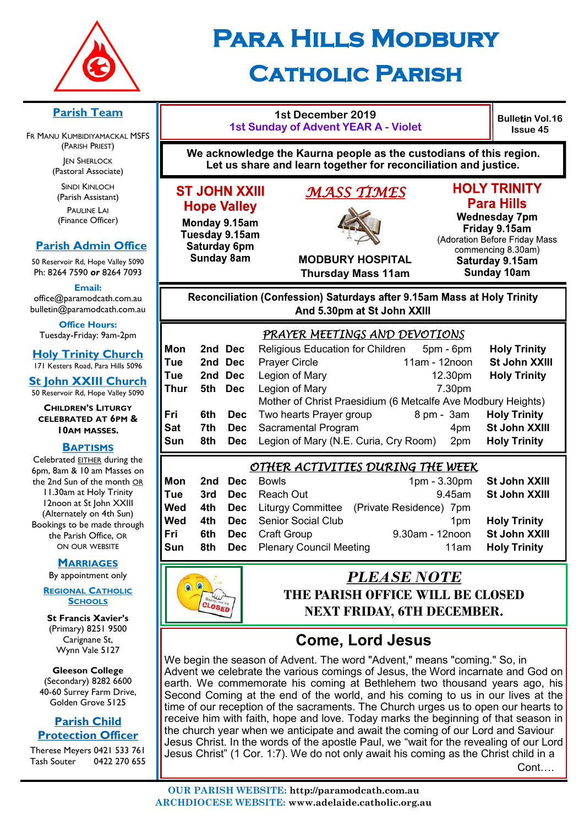

# **Para Hills Modbury Catholic Parish**

#### **Parish Team**

FR MANU KUMBIDIYAMACKAL MSFS (PARISH PRIEST) **JEN SHERLOCK** 

(Pastoral Associate)

SINDI KINLOCH (Parish Assistant) PAULINE LAI (Finance Officer)

#### **Parish Admin Office**

50 Reservoir Rd, Hope Valley 5090 Ph: 8264 7590 *or* 8264 7093

**Email:** 

office@paramodcath.com.au bulletin@paramodcath.com.au

**Office Hours:**  Tuesday-Friday: 9am-2pm

**Holy Trinity Church** 171 Kesters Road, Para Hills 5096

**St John XXIII Church** 50 Reservoir Rd, Hope Valley 5090

**CHILDREN'S LITURGY CELEBRATED AT 6PM & 10AM MASSES.**

#### **BAPTISMS**

Celebrated EITHER during the 6pm, 8am & 10 am Masses on the 2nd Sun of the month OR 11.30am at Holy Trinity 12noon at St John XXIII (Alternately on 4th Sun) Bookings to be made through the Parish Office, OR ON OUR WEBSITE

#### **MARRIAGES**

By appointment only

**REGIONAL CATHOLIC SCHOOLS**

**St Francis Xavier's**  (Primary) 8251 9500 Carignane St, Wynn Vale 5127

**Gleeson College**  (Secondary) 8282 6600 40-60 Surrey Farm Drive, Golden Grove 5125

#### **Parish Child Protection Officer**

Therese Meyers 0421 533 761 Tash Souter 0422 270 655



**MODBURY HOSPITAL Thursday Mass 11am**

## **HOLY TRINITY Para Hills**

**Bulletin Vol.16 Issue 45**

**Wednesday 7pm** Friday 9.15am (Adoration Before Friday Mass commencing 8.30am) Saturday 9.15am **Sunday 10am** 

Reconciliation (Confession) Saturdays after 9.15am Mass at Holy Trinity And 5.30pm at St John XXIII

|      |                    | PRAYER MEETINGS AND DEVOTIONS                                |               |                     |
|------|--------------------|--------------------------------------------------------------|---------------|---------------------|
| Mon  | 2nd Dec            | Religious Education for Children                             | 5pm - 6pm     | <b>Holy Trinity</b> |
| Tue  | 2nd Dec            | <b>Prayer Circle</b>                                         | 11am - 12noon | St John XXIII       |
| Tue  | 2nd Dec            | Legion of Mary                                               | 12.30pm       | <b>Holy Trinity</b> |
| Thur | <b>Dec</b><br>5th. | Legion of Mary                                               | 7.30pm        |                     |
|      |                    | Mother of Christ Praesidium (6 Metcalfe Ave Modbury Heights) |               |                     |
| Fri  | 6th.<br><b>Dec</b> | Two hearts Prayer group                                      | 8 pm - 3 am   | <b>Holy Trinity</b> |
| Sat  | 7th<br><b>Dec</b>  | Sacramental Program                                          | 4pm           | St John XXIII       |
| Sun  | 8th<br><b>Dec</b>  | Legion of Mary (N.E. Curia, Cry Room)                        | 2pm           | <b>Holy Trinity</b> |

#### *OTHER ACTIVITIES DURING THE WEEK*

| Mon |  | <b>2nd Dec</b> Bowls                   | 1pm - 3.30pm St John XXIII                            |                          |
|-----|--|----------------------------------------|-------------------------------------------------------|--------------------------|
|     |  | Tue 3rd Dec Reach Out                  | 9.45am                                                | St John XXIII            |
|     |  |                                        | Wed 4th Dec Liturgy Committee (Private Residence) 7pm |                          |
| Wed |  | 4th Dec Senior Social Club             | 1pm                                                   | <b>Holy Trinity</b>      |
| Fri |  | <b>6th Dec</b> Craft Group             | 9.30am - 12noon St John XXIII                         |                          |
| Sun |  | <b>8th Dec</b> Plenary Council Meeting |                                                       | 11am <b>Holy Trinity</b> |
|     |  |                                        |                                                       |                          |

# *PLEASE NOTE*

**THE PARISH OFFICE WILL BE CLOSED NEXT FRIDAY, 6TH DECEMBER.**

# **Come, Lord Jesus**

We begin the season of Advent. The word "Advent," means "coming." So, in Advent we celebrate the various comings of Jesus, the Word incarnate and God on earth. We commemorate his coming at Bethlehem two thousand years ago, his Second Coming at the end of the world, and his coming to us in our lives at the time of our reception of the sacraments. The Church urges us to open our hearts to receive him with faith, hope and love. Today marks the beginning of that season in the church year when we anticipate and await the coming of our Lord and Saviour Jesus Christ. In the words of the apostle Paul, we "wait for the revealing of our Lord Jesus Christ" (1 Cor. 1:7). We do not only await his coming as the Christ child in a

Cont….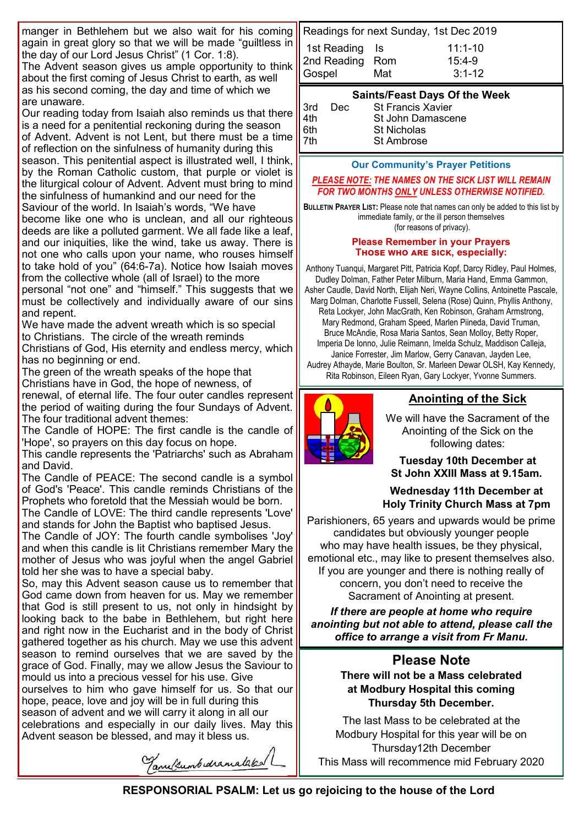manger in Bethlehem but we also wait for his coming again in great glory so that we will be made "guiltless in the day of our Lord Jesus Christ" (1 Cor. 1:8). The Advent season gives us ample opportunity to think about the first coming of Jesus Christ to earth, as well

as his second coming, the day and time of which we are unaware.

Our reading today from Isaiah also reminds us that there is a need for a penitential reckoning during the season of Advent. Advent is not Lent, but there must be a time of reflection on the sinfulness of humanity during this season. This penitential aspect is illustrated well, I think, by the Roman Catholic custom, that purple or violet is the liturgical colour of Advent. Advent must bring to mind the sinfulness of humankind and our need for the Saviour of the world. In Isaiah's words, "We have become like one who is unclean, and all our righteous deeds are like a polluted garment. We all fade like a leaf, and our iniquities, like the wind, take us away. There is not one who calls upon your name, who rouses himself to take hold of you" (64:6-7a). Notice how Isaiah moves from the collective whole (all of Israel) to the more personal "not one" and "himself." This suggests that we must be collectively and individually aware of our sins

and repent. We have made the advent wreath which is so special

to Christians. The circle of the wreath reminds

Christians of God, His eternity and endless mercy, which has no beginning or end.

The green of the wreath speaks of the hope that Christians have in God, the hope of newness, of

renewal, of eternal life. The four outer candles represent the period of waiting during the four Sundays of Advent. The four traditional advent themes:

The Candle of HOPE: The first candle is the candle of 'Hope', so prayers on this day focus on hope.

This candle represents the 'Patriarchs' such as Abraham and David.

The Candle of PEACE: The second candle is a symbol of God's 'Peace'. This candle reminds Christians of the Prophets who foretold that the Messiah would be born.

The Candle of LOVE: The third candle represents 'Love' and stands for John the Baptist who baptised Jesus.

The Candle of JOY: The fourth candle symbolises 'Joy' and when this candle is lit Christians remember Mary the mother of Jesus who was joyful when the angel Gabriel told her she was to have a special baby.

So, may this Advent season cause us to remember that God came down from heaven for us. May we remember that God is still present to us, not only in hindsight by looking back to the babe in Bethlehem, but right here and right now in the Eucharist and in the body of Christ gathered together as his church. May we use this advent season to remind ourselves that we are saved by the grace of God. Finally, may we allow Jesus the Saviour to mould us into a precious vessel for his use. Give ourselves to him who gave himself for us. So that our hope, peace, love and joy will be in full during this season of advent and we will carry it along in all our

celebrations and especially in our daily lives. May this Advent season be blessed, and may it bless us.

Tanilumbidiamalaked

| Readings for next Sunday, 1st Dec 2019 |     |             |  |  |
|----------------------------------------|-----|-------------|--|--|
| 1st Reading Is                         |     | $11:1 - 10$ |  |  |
| 2nd Reading Rom                        |     | $15:4-9$    |  |  |
| Gospel                                 | Mat | $3:1 - 12$  |  |  |

#### **Saints/Feast Days Of the Week**

| 3rd<br>4th | Dec | St F<br>St J |
|------------|-----|--------------|
| 6th        |     | St N         |
| 7th        |     | St A         |

Francis Xavier lohn Damascene **Jicholas \mbrose** 

#### **Our Community's Prayer Petitions**

#### *PLEASE NOTE: THE NAMES ON THE SICK LIST WILL REMAIN FOR TWO MONTHS ONLY UNLESS OTHERWISE NOTIFIED.*

**BULLETIN PRAYER LIST:** Please note that names can only be added to this list by immediate family, or the ill person themselves (for reasons of privacy).

#### **Please Remember in your Prayers Those who are sick, especially:**

Anthony Tuanqui, Margaret Pitt, Patricia Kopf, Darcy Ridley, Paul Holmes, Dudley Dolman, Father Peter Milburn, Maria Hand, Emma Gammon, Asher Caudle, David North, Elijah Neri, Wayne Collins, Antoinette Pascale, Marg Dolman, Charlotte Fussell, Selena (Rose) Quinn, Phyllis Anthony, Reta Lockyer, John MacGrath, Ken Robinson, Graham Armstrong, Mary Redmond, Graham Speed, Marlen Piineda, David Truman, Bruce McAndie, Rosa Maria Santos, Sean Molloy, Betty Roper, Imperia De Ionno, Julie Reimann, Imelda Schulz, Maddison Calleja, Janice Forrester, Jim Marlow, Gerry Canavan, Jayden Lee, Audrey Athayde, Marie Boulton, Sr. Marleen Dewar OLSH, Kay Kennedy, Rita Robinson, Eileen Ryan, Gary Lockyer, Yvonne Summers.



#### **Anointing of the Sick**

We will have the Sacrament of the Anointing of the Sick on the following dates:

**Tuesday 10th December at St John XXIII Mass at 9.15am.**

**Wednesday 11th December at Holy Trinity Church Mass at 7pm** 

Parishioners, 65 years and upwards would be prime candidates but obviously younger people who may have health issues, be they physical, emotional etc., may like to present themselves also. If you are younger and there is nothing really of concern, you don't need to receive the Sacrament of Anointing at present.

*If there are people at home who require anointing but not able to attend, please call the office to arrange a visit from Fr Manu.*

#### **Please Note**

**There will not be a Mass celebrated at Modbury Hospital this coming Thursday 5th December.**

The last Mass to be celebrated at the Modbury Hospital for this year will be on Thursday12th December This Mass will recommence mid February 2020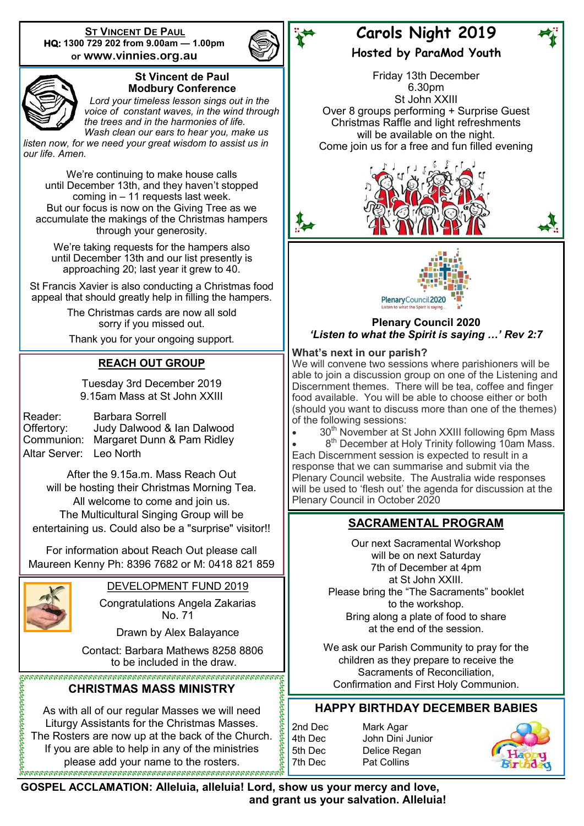**ST VINCENT DE PAUL HQ: 1300 729 202 from 9.00am — 1.00pm or www.vinnies.org.au** 





#### **St Vincent de Paul Modbury Conference**

 *Lord your timeless lesson sings out in the voice of constant waves, in the wind through the trees and in the harmonies of life. Wash clean our ears to hear you, make us* 

*listen now, for we need your great wisdom to assist us in our life. Amen.*

We're continuing to make house calls until December 13th, and they haven't stopped coming in – 11 requests last week. But our focus is now on the Giving Tree as we accumulate the makings of the Christmas hampers through your generosity.

We're taking requests for the hampers also until December 13th and our list presently is approaching 20; last year it grew to 40.

St Francis Xavier is also conducting a Christmas food appeal that should greatly help in filling the hampers.

> The Christmas cards are now all sold sorry if you missed out.

Thank you for your ongoing support.

#### **REACH OUT GROUP**

Tuesday 3rd December 2019 9.15am Mass at St John XXIII

| Reader:       |
|---------------|
| Offertory:    |
| Communion:    |
| Altar Server: |

**Barbara Sorrell** Judy Dalwood & Ian Dalwood Margaret Dunn & Pam Ridley Leo North

After the 9.15a.m. Mass Reach Out will be hosting their Christmas Morning Tea. All welcome to come and join us. The Multicultural Singing Group will be entertaining us. Could also be a "surprise" visitor!!

For information about Reach Out please call Maureen Kenny Ph: 8396 7682 or M: 0418 821 859



#### DEVELOPMENT FUND 2019

Congratulations Angela Zakarias No. 71

Drawn by Alex Balayance

 Contact: Barbara Mathews 8258 8806 to be included in the draw.

#### **CHRISTMAS MASS MINISTRY**

As with all of our regular Masses we will need Liturgy Assistants for the Christmas Masses. The Rosters are now up at the back of the Church. If you are able to help in any of the ministries please add your name to the rosters.

# **Carols Night 2019**

**Hosted by ParaMod Youth**

Friday 13th December 6.30pm St John XXIII Over 8 groups performing + Surprise Guest Christmas Raffle and light refreshments will be available on the night. Come join us for a free and fun filled evening





#### **Plenary Council 2020** *'Listen to what the Spirit is saying …' Rev 2:7*

#### **What's next in our parish?**

We will convene two sessions where parishioners will be able to join a discussion group on one of the Listening and Discernment themes. There will be tea, coffee and finger food available. You will be able to choose either or both (should you want to discuss more than one of the themes) of the following sessions:

30<sup>th</sup> November at St John XXIII following 6pm Mass

• 8<sup>th</sup> December at Holy Trinity following 10am Mass. Each Discernment session is expected to result in a response that we can summarise and submit via the Plenary Council website. The Australia wide responses will be used to 'flesh out' the agenda for discussion at the Plenary Council in October 2020

#### **SACRAMENTAL PROGRAM**

Our next Sacramental Workshop will be on next Saturday 7th of December at 4pm at St John XXIII. Please bring the "The Sacraments" booklet to the workshop. Bring along a plate of food to share at the end of the session.

We ask our Parish Community to pray for the children as they prepare to receive the Sacraments of Reconciliation, Confirmation and First Holy Communion.

#### **HAPPY BIRTHDAY DECEMBER BABIES**

2nd Dec Mark Agar

4th Dec John Dini Junior 5th Dec Delice Regan 7th Dec Pat Collins



**GOSPEL ACCLAMATION: Alleluia, alleluia! Lord, show us your mercy and love, and grant us your salvation. Alleluia!**